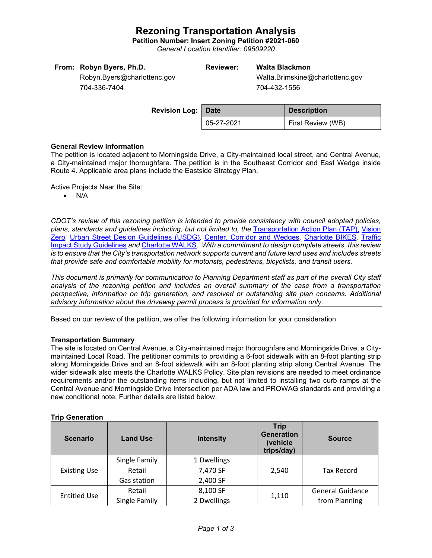# **Rezoning Transportation Analysis**

**Petition Number: Insert Zoning Petition #2021-060**

*General Location Identifier: 09509220*

## **Reviewer: Walta Blackmon**

Walta.Brimskine@charlottenc.gov 704-432-1556

Robyn.Byers@charlottenc.gov 704-336-7404

| <b>Revision Log: Date</b> |            | <b>Description</b> |
|---------------------------|------------|--------------------|
|                           | 05-27-2021 | First Review (WB)  |

### **General Review Information**

The petition is located adjacent to Morningside Drive, a City-maintained local street, and Central Avenue, a City-maintained major thoroughfare. The petition is in the Southeast Corridor and East Wedge inside Route 4. Applicable area plans include the Eastside Strategy Plan.

Active Projects Near the Site:

• N/A

*CDOT's review of this rezoning petition is intended to provide consistency with council adopted policies, plans, standards and guidelines including, but not limited to, the* [Transportation Action Plan \(TAP\),](https://charlottenc.gov/Transportation/Programs/Pages/TransportationActionPlan.aspx) [Vision](https://charlottenc.gov/VisionZero/Pages/VisionZero.aspx)  [Zero](https://charlottenc.gov/VisionZero/Pages/VisionZero.aspx)*,* [Urban Street Design Guidelines \(USDG\)](https://charlottenc.gov/Transportation/PlansProjects/Documents/USDG%20Full%20Document.pdf)*,* [Center, Corridor and](http://ww.charmeck.org/Planning/Land%20Use%20Planning/CentersCorridorsWedges/CentersCorridorsWedges(Adopted).pdf) Wedges*,* [Charlotte BIKES](https://charlottenc.gov/Transportation/Programs/Pages/Bicycle.aspx)*,* [Traffic](https://charlottenc.gov/Transportation/Permits/Documents/TISProcessandGuildlines.pdf)  [Impact Study Guidelines](https://charlottenc.gov/Transportation/Permits/Documents/TISProcessandGuildlines.pdf) *and* [Charlotte WALKS](https://charlottenc.gov/Transportation/Programs/Pages/CharlotteWalks.aspx)*. With a commitment to design complete streets, this review is to ensure that the City's transportation network supports current and future land uses and includes streets that provide safe and comfortable mobility for motorists, pedestrians, bicyclists, and transit users.*

*This document is primarily for communication to Planning Department staff as part of the overall City staff analysis of the rezoning petition and includes an overall summary of the case from a transportation perspective, information on trip generation, and resolved or outstanding site plan concerns. Additional advisory information about the driveway permit process is provided for information only.*

Based on our review of the petition, we offer the following information for your consideration.

#### **Transportation Summary**

The site is located on Central Avenue, a City-maintained major thoroughfare and Morningside Drive, a Citymaintained Local Road. The petitioner commits to providing a 6-foot sidewalk with an 8-foot planting strip along Morningside Drive and an 8-foot sidewalk with an 8-foot planting strip along Central Avenue. The wider sidewalk also meets the Charlotte WALKS Policy. Site plan revisions are needed to meet ordinance requirements and/or the outstanding items including, but not limited to installing two curb ramps at the Central Avenue and Morningside Drive Intersection per ADA law and PROWAG standards and providing a new conditional note. Further details are listed below.

#### **Trip Generation**

| <b>Scenario</b>     | <b>Land Use</b> | <b>Intensity</b> | <b>Trip</b><br><b>Generation</b><br>(vehicle<br>trips/day) | <b>Source</b>           |
|---------------------|-----------------|------------------|------------------------------------------------------------|-------------------------|
| <b>Existing Use</b> | Single Family   | 1 Dwellings      | 2,540                                                      | <b>Tax Record</b>       |
|                     | Retail          | 7,470 SF         |                                                            |                         |
|                     | Gas station     | 2,400 SF         |                                                            |                         |
| <b>Entitled Use</b> | Retail          | 8,100 SF         | 1,110                                                      | <b>General Guidance</b> |
|                     | Single Family   | 2 Dwellings      |                                                            | from Planning           |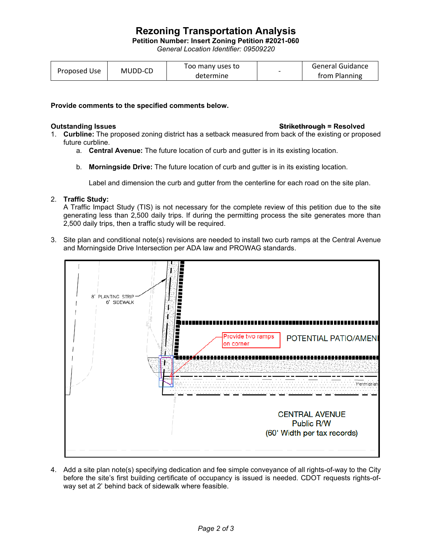# **Rezoning Transportation Analysis**

**Petition Number: Insert Zoning Petition #2021-060**

*General Location Identifier: 09509220*

| Proposed Use | MUDD-CD | Too many uses to |  | General Guidance |
|--------------|---------|------------------|--|------------------|
|              |         | determine        |  | from Planning    |

#### **Provide comments to the specified comments below.**

#### **Outstanding Issues Strikethrough = Resolved**

- 1. **Curbline:** The proposed zoning district has a setback measured from back of the existing or proposed future curbline.
	- a. **Central Avenue:** The future location of curb and gutter is in its existing location.
	- b. **Morningside Drive:** The future location of curb and gutter is in its existing location.

Label and dimension the curb and gutter from the centerline for each road on the site plan.

## 2. **Traffic Study:**

A Traffic Impact Study (TIS) is not necessary for the complete review of this petition due to the site generating less than 2,500 daily trips. If during the permitting process the site generates more than 2,500 daily trips, then a traffic study will be required.

3. Site plan and conditional note(s) revisions are needed to install two curb ramps at the Central Avenue and Morningside Drive Intersection per ADA law and PROWAG standards.



4. Add a site plan note(s) specifying dedication and fee simple conveyance of all rights-of-way to the City before the site's first building certificate of occupancy is issued is needed. CDOT requests rights-ofway set at 2' behind back of sidewalk where feasible.